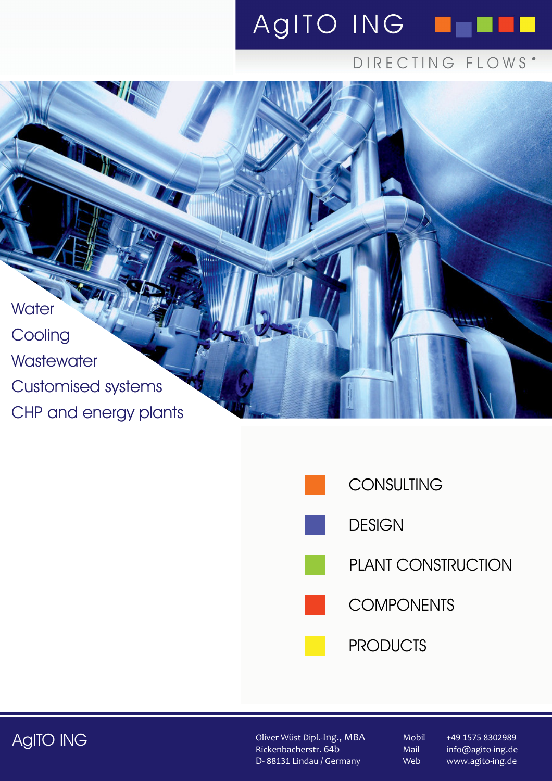# AgITO ING **NO**

# DIRECTING FLOWS'







Oliver Wüst Dipl.-Ing., MBA Rickenbacherstr. 64b D- 88131 Lindau / Germany

Mail Web

Mobil +49 1575 8302989 info@agito-ing.de www.agito-ing.de